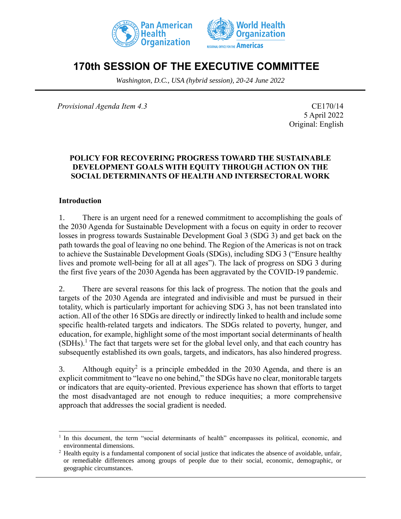



# **170th SESSION OF THE EXECUTIVE COMMITTEE**

*Washington, D.C., USA (hybrid session), 20-24 June 2022*

*Provisional Agenda Item 4.3* CE170/14

5 April 2022 Original: English

### **POLICY FOR RECOVERING PROGRESS TOWARD THE SUSTAINABLE DEVELOPMENT GOALS WITH EQUITY THROUGH ACTION ON THE SOCIAL DETERMINANTS OF HEALTH AND INTERSECTORAL WORK**

### **Introduction**

1. There is an urgent need for a renewed commitment to accomplishing the goals of the 2030 Agenda for Sustainable Development with a focus on equity in order to recover losses in progress towards Sustainable Development Goal 3 (SDG 3) and get back on the path towards the goal of leaving no one behind. The Region of the Americas is not on track to achieve the Sustainable Development Goals (SDGs), including SDG 3 ("Ensure healthy lives and promote well-being for all at all ages"). The lack of progress on SDG 3 during the first five years of the 2030 Agenda has been aggravated by the COVID-19 pandemic.

2. There are several reasons for this lack of progress. The notion that the goals and targets of the 2030 Agenda are integrated and indivisible and must be pursued in their totality, which is particularly important for achieving SDG 3, has not been translated into action. All of the other 16 SDGs are directly or indirectly linked to health and include some specific health-related targets and indicators. The SDGs related to poverty, hunger, and education, for example, highlight some of the most important social determinants of health  $(SDHs)$ <sup>1</sup>. The fact that targets were set for the global level only, and that each country has subsequently established its own goals, targets, and indicators, has also hindered progress.

3. Although equity<sup>2</sup> is a principle embedded in the 2030 Agenda, and there is an explicit commitment to "leave no one behind," the SDGs have no clear, monitorable targets or indicators that are equity-oriented. Previous experience has shown that efforts to target the most disadvantaged are not enough to reduce inequities; a more comprehensive approach that addresses the social gradient is needed.

<sup>&</sup>lt;sup>1</sup> In this document, the term "social determinants of health" encompasses its political, economic, and environmental dimensions.

<sup>&</sup>lt;sup>2</sup> Health equity is a fundamental component of social justice that indicates the absence of avoidable, unfair, or remediable differences among groups of people due to their social, economic, demographic, or geographic circumstances.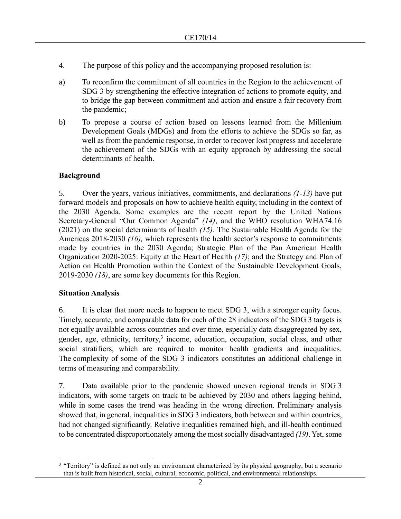- 4. The purpose of this policy and the accompanying proposed resolution is:
- a) To reconfirm the commitment of all countries in the Region to the achievement of SDG 3 by strengthening the effective integration of actions to promote equity, and to bridge the gap between commitment and action and ensure a fair recovery from the pandemic;
- b) To propose a course of action based on lessons learned from the Millenium Development Goals (MDGs) and from the efforts to achieve the SDGs so far, as well as from the pandemic response, in order to recover lost progress and accelerate the achievement of the SDGs with an equity approach by addressing the social determinants of health.

### **Background**

5. Over the years, various initiatives, commitments, and declarations *(1-13)* have put forward models and proposals on how to achieve health equity, including in the context of the 2030 Agenda. Some examples are the recent report by the United Nations Secretary-General "Our Common Agenda" *(14)*, and the WHO resolution WHA74.16 (2021) on the social determinants of health *(15).* The Sustainable Health Agenda for the Americas 2018-2030 *(16),* which represents the health sector's response to commitments made by countries in the 2030 Agenda; Strategic Plan of the Pan American Health Organization 2020-2025: Equity at the Heart of Health *(17)*; and the Strategy and Plan of Action on Health Promotion within the Context of the Sustainable Development Goals, 2019-2030 *(18)*, are some key documents for this Region.

### **Situation Analysis**

6. It is clear that more needs to happen to meet SDG 3, with a stronger equity focus. Timely, accurate, and comparable data for each of the 28 indicators of the SDG 3 targets is not equally available across countries and over time, especially data disaggregated by sex, gender, age, ethnicity, territory,<sup>3</sup> income, education, occupation, social class, and other social stratifiers, which are required to monitor health gradients and inequalities. The complexity of some of the SDG 3 indicators constitutes an additional challenge in terms of measuring and comparability.

7. Data available prior to the pandemic showed uneven regional trends in SDG 3 indicators, with some targets on track to be achieved by 2030 and others lagging behind, while in some cases the trend was heading in the wrong direction. Preliminary analysis showed that, in general, inequalities in SDG 3 indicators, both between and within countries, had not changed significantly. Relative inequalities remained high, and ill-health continued to be concentrated disproportionately among the most socially disadvantaged *(19)*. Yet, some

<sup>&</sup>lt;sup>3</sup> "Territory" is defined as not only an environment characterized by its physical geography, but a scenario that is built from historical, social, cultural, economic, political, and environmental relationships.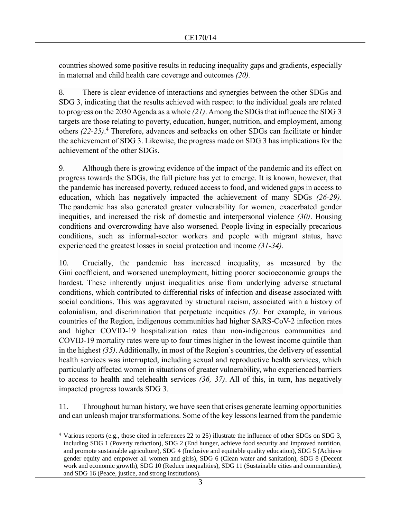countries showed some positive results in reducing inequality gaps and gradients, especially in maternal and child health care coverage and outcomes *(20).*

8. There is clear evidence of interactions and synergies between the other SDGs and SDG 3, indicating that the results achieved with respect to the individual goals are related to progress on the 2030 Agenda as a whole *(21)*. Among the SDGs that influence the SDG 3 targets are those relating to poverty, education, hunger, nutrition, and employment, among others *(22-25)*. <sup>4</sup> Therefore, advances and setbacks on other SDGs can facilitate or hinder the achievement of SDG 3. Likewise, the progress made on SDG 3 has implications for the achievement of the other SDGs.

9. Although there is growing evidence of the impact of the pandemic and its effect on progress towards the SDGs, the full picture has yet to emerge. It is known, however, that the pandemic has increased poverty, reduced access to food, and widened gaps in access to education, which has negatively impacted the achievement of many SDGs *(26-29)*. The pandemic has also generated greater vulnerability for women, exacerbated gender inequities, and increased the risk of domestic and interpersonal violence *(30)*. Housing conditions and overcrowding have also worsened. People living in especially precarious conditions, such as informal-sector workers and people with migrant status, have experienced the greatest losses in social protection and income *(31-34).*

10. Crucially, the pandemic has increased inequality, as measured by the Gini coefficient, and worsened unemployment, hitting poorer socioeconomic groups the hardest. These inherently unjust inequalities arise from underlying adverse structural conditions, which contributed to differential risks of infection and disease associated with social conditions. This was aggravated by structural racism, associated with a history of colonialism, and discrimination that perpetuate inequities *(5)*. For example, in various countries of the Region, indigenous communities had higher SARS-CoV-2 infection rates and higher COVID-19 hospitalization rates than non-indigenous communities and COVID-19 mortality rates were up to four times higher in the lowest income quintile than in the highest *(35)*. Additionally, in most of the Region's countries, the delivery of essential health services was interrupted, including sexual and reproductive health services, which particularly affected women in situations of greater vulnerability, who experienced barriers to access to health and telehealth services *(36, 37)*. All of this, in turn, has negatively impacted progress towards SDG 3.

11. Throughout human history, we have seen that crises generate learning opportunities and can unleash major transformations. Some of the key lessons learned from the pandemic

<sup>4</sup> Various reports (e.g., those cited in references 22 to 25) illustrate the influence of other SDGs on SDG 3, including SDG 1 (Poverty reduction), SDG 2 (End hunger, achieve food security and improved nutrition, and promote sustainable agriculture), SDG 4 (Inclusive and equitable quality education), SDG 5 (Achieve gender equity and empower all women and girls), SDG 6 (Clean water and sanitation), SDG 8 (Decent work and economic growth), SDG 10 (Reduce inequalities), SDG 11 (Sustainable cities and communities), and SDG 16 (Peace, justice, and strong institutions).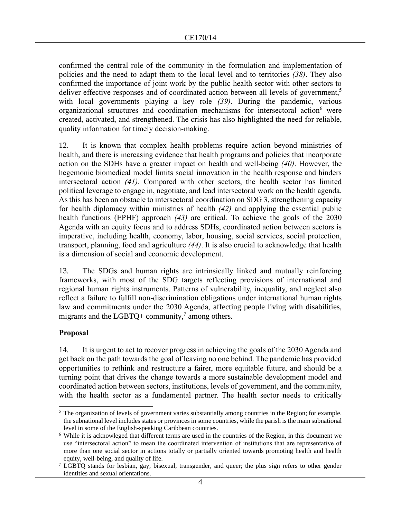confirmed the central role of the community in the formulation and implementation of policies and the need to adapt them to the local level and to territories *(38)*. They also confirmed the importance of joint work by the public health sector with other sectors to deliver effective responses and of coordinated action between all levels of government,<sup>5</sup> with local governments playing a key role *(39)*. During the pandemic, various organizational structures and coordination mechanisms for intersectoral action<sup>6</sup> were created, activated, and strengthened. The crisis has also highlighted the need for reliable, quality information for timely decision-making.

12. It is known that complex health problems require action beyond ministries of health, and there is increasing evidence that health programs and policies that incorporate action on the SDHs have a greater impact on health and well-being *(40)*. However, the hegemonic biomedical model limits social innovation in the health response and hinders intersectoral action *(41)*. Compared with other sectors, the health sector has limited political leverage to engage in, negotiate, and lead intersectoral work on the health agenda. As this has been an obstacle to intersectoral coordination on SDG 3, strengthening capacity for health diplomacy within ministries of health *(42)* and applying the essential public health functions (EPHF) approach *(43)* are critical. To achieve the goals of the 2030 Agenda with an equity focus and to address SDHs, coordinated action between sectors is imperative, including health, economy, labor, housing, social services, social protection, transport, planning, food and agriculture *(44)*. It is also crucial to acknowledge that health is a dimension of social and economic development.

13. The SDGs and human rights are intrinsically linked and mutually reinforcing frameworks, with most of the SDG targets reflecting provisions of international and regional human rights instruments. Patterns of vulnerability, inequality, and neglect also reflect a failure to fulfill non-discrimination obligations under international human rights law and commitments under the 2030 Agenda, affecting people living with disabilities, migrants and the LGBTQ+ community,<sup>7</sup> among others.

### **Proposal**

14. It is urgent to act to recover progress in achieving the goals of the 2030 Agenda and get back on the path towards the goal of leaving no one behind. The pandemic has provided opportunities to rethink and restructure a fairer, more equitable future, and should be a turning point that drives the change towards a more sustainable development model and coordinated action between sectors, institutions, levels of government, and the community, with the health sector as a fundamental partner. The health sector needs to critically

 $<sup>5</sup>$  The organization of levels of government varies substantially among countries in the Region; for example,</sup> the subnational level includes states or provinces in some countries, while the parish is the main subnational level in some of the English-speaking Caribbean countries.

<sup>6</sup> While it is acknowleged that different terms are used in the countries of the Region, in this document we use "intersectoral action" to mean the coordinated intervention of institutions that are representative of more than one social sector in actions totally or partially oriented towards promoting health and health equity, well-being, and quality of life.

<sup>&</sup>lt;sup>7</sup> LGBTQ stands for lesbian, gay, bisexual, transgender, and queer; the plus sign refers to other gender identities and sexual orientations.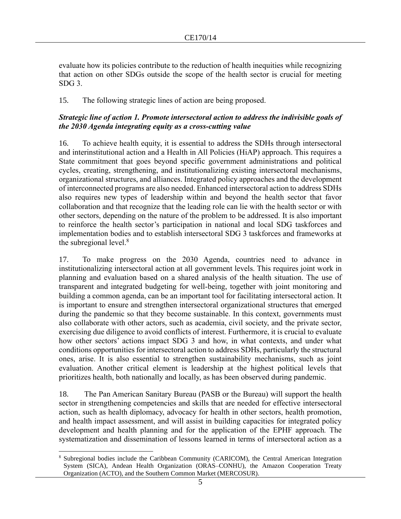evaluate how its policies contribute to the reduction of health inequities while recognizing that action on other SDGs outside the scope of the health sector is crucial for meeting SDG 3.

15. The following strategic lines of action are being proposed.

### *Strategic line of action 1. Promote intersectoral action to address the indivisible goals of the 2030 Agenda integrating equity as a cross-cutting value*

16. To achieve health equity, it is essential to address the SDHs through intersectoral and interinstitutional action and a Health in All Policies (HiAP) approach. This requires a State commitment that goes beyond specific government administrations and political cycles, creating, strengthening, and institutionalizing existing intersectoral mechanisms, organizational structures, and alliances. Integrated policy approaches and the development of interconnected programs are also needed. Enhanced intersectoral action to address SDHs also requires new types of leadership within and beyond the health sector that favor collaboration and that recognize that the leading role can lie with the health sector or with other sectors, depending on the nature of the problem to be addressed. It is also important to reinforce the health sector's participation in national and local SDG taskforces and implementation bodies and to establish intersectoral SDG 3 taskforces and frameworks at the subregional level. $8$ 

17. To make progress on the 2030 Agenda, countries need to advance in institutionalizing intersectoral action at all government levels. This requires joint work in planning and evaluation based on a shared analysis of the health situation. The use of transparent and integrated budgeting for well-being, together with joint monitoring and building a common agenda, can be an important tool for facilitating intersectoral action. It is important to ensure and strengthen intersectoral organizational structures that emerged during the pandemic so that they become sustainable. In this context, governments must also collaborate with other actors, such as academia, civil society, and the private sector, exercising due diligence to avoid conflicts of interest. Furthermore, it is crucial to evaluate how other sectors' actions impact SDG 3 and how, in what contexts, and under what conditions opportunities for intersectoral action to address SDHs, particularly the structural ones, arise. It is also essential to strengthen sustainability mechanisms, such as joint evaluation. Another critical element is leadership at the highest political levels that prioritizes health, both nationally and locally, as has been observed during pandemic.

18. The Pan American Sanitary Bureau (PASB or the Bureau) will support the health sector in strengthening competencies and skills that are needed for effective intersectoral action, such as health diplomacy, advocacy for health in other sectors, health promotion, and health impact assessment, and will assist in building capacities for integrated policy development and health planning and for the application of the EPHF approach*.* The systematization and dissemination of lessons learned in terms of intersectoral action as a

<sup>8</sup> Subregional bodies include the Caribbean Community (CARICOM), the Central American Integration System (SICA), Andean Health Organization (ORAS–CONHU), the Amazon Cooperation Treaty Organization (ACTO), and the Southern Common Market (MERCOSUR).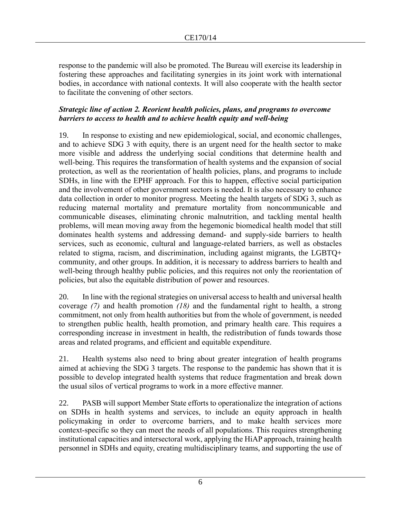response to the pandemic will also be promoted. The Bureau will exercise its leadership in fostering these approaches and facilitating synergies in its joint work with international bodies, in accordance with national contexts. It will also cooperate with the health sector to facilitate the convening of other sectors.

### *Strategic line of action 2. Reorient health policies, plans, and programs to overcome barriers to access to health and to achieve health equity and well-being*

19. In response to existing and new epidemiological, social, and economic challenges, and to achieve SDG 3 with equity, there is an urgent need for the health sector to make more visible and address the underlying social conditions that determine health and well-being. This requires the transformation of health systems and the expansion of social protection, as well as the reorientation of health policies, plans, and programs to include SDHs, in line with the EPHF approach. For this to happen, effective social participation and the involvement of other government sectors is needed. It is also necessary to enhance data collection in order to monitor progress. Meeting the health targets of SDG 3, such as reducing maternal mortality and premature mortality from noncommunicable and communicable diseases, eliminating chronic malnutrition, and tackling mental health problems, will mean moving away from the hegemonic biomedical health model that still dominates health systems and addressing demand- and supply-side barriers to health services, such as economic, cultural and language-related barriers, as well as obstacles related to stigma, racism, and discrimination, including against migrants, the LGBTQ+ community, and other groups. In addition, it is necessary to address barriers to health and well-being through healthy public policies, and this requires not only the reorientation of policies, but also the equitable distribution of power and resources.

20. In line with the regional strategies on universal access to health and universal health coverage *(7)* and health promotion *(18)* and the fundamental right to health, a strong commitment, not only from health authorities but from the whole of government, is needed to strengthen public health, health promotion, and primary health care. This requires a corresponding increase in investment in health, the redistribution of funds towards those areas and related programs, and efficient and equitable expenditure.

21. Health systems also need to bring about greater integration of health programs aimed at achieving the SDG 3 targets. The response to the pandemic has shown that it is possible to develop integrated health systems that reduce fragmentation and break down the usual silos of vertical programs to work in a more effective manner.

22. PASB will support Member State efforts to operationalize the integration of actions on SDHs in health systems and services, to include an equity approach in health policymaking in order to overcome barriers, and to make health services more context-specific so they can meet the needs of all populations. This requires strengthening institutional capacities and intersectoral work, applying the HiAP approach, training health personnel in SDHs and equity, creating multidisciplinary teams, and supporting the use of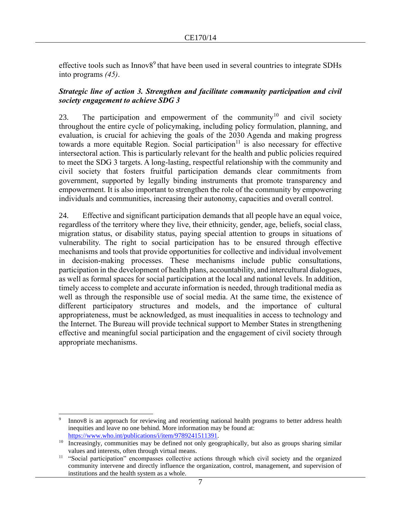effective tools such as Innov8<sup>9</sup> that have been used in several countries to integrate SDHs into programs *(45)*.

### *Strategic line of action 3. Strengthen and facilitate community participation and civil society engagement to achieve SDG 3*

23. The participation and empowerment of the community<sup>10</sup> and civil society throughout the entire cycle of policymaking, including policy formulation, planning, and evaluation, is crucial for achieving the goals of the 2030 Agenda and making progress towards a more equitable Region. Social participation<sup>11</sup> is also necessary for effective intersectoral action. This is particularly relevant for the health and public policies required to meet the SDG 3 targets. A long-lasting, respectful relationship with the community and civil society that fosters fruitful participation demands clear commitments from government, supported by legally binding instruments that promote transparency and empowerment. It is also important to strengthen the role of the community by empowering individuals and communities, increasing their autonomy, capacities and overall control.

24. Effective and significant participation demands that all people have an equal voice, regardless of the territory where they live, their ethnicity, gender, age, beliefs, social class, migration status, or disability status, paying special attention to groups in situations of vulnerability. The right to social participation has to be ensured through effective mechanisms and tools that provide opportunities for collective and individual involvement in decision-making processes. These mechanisms include public consultations, participation in the development of health plans, accountability, and intercultural dialogues, as well as formal spaces for social participation at the local and national levels. In addition, timely access to complete and accurate information is needed, through traditional media as well as through the responsible use of social media. At the same time, the existence of different participatory structures and models, and the importance of cultural appropriateness, must be acknowledged, as must inequalities in access to technology and the Internet. The Bureau will provide technical support to Member States in strengthening effective and meaningful social participation and the engagement of civil society through appropriate mechanisms.

<sup>9</sup> Innov8 is an approach for reviewing and reorienting national health programs to better address health inequities and leave no one behind. More information may be found at: https://www.who.int/publications/i/item/9789241511391.

<sup>&</sup>lt;sup>10</sup> Increasingly, communities may be defined not only geographically, but also as groups sharing similar values and interests, often through virtual means.

<sup>&</sup>lt;sup>11</sup> "Social participation" encompasses collective actions through which civil society and the organized community intervene and directly influence the organization, control, management, and supervision of institutions and the health system as a whole.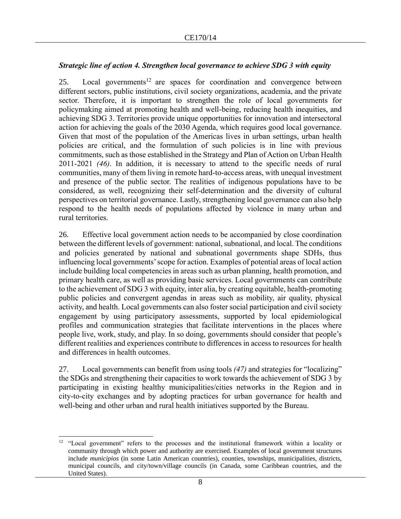### *Strategic line of action 4. Strengthen local governance to achieve SDG 3 with equity*

25. Local governments<sup>12</sup> are spaces for coordination and convergence between different sectors, public institutions, civil society organizations, academia, and the private sector. Therefore, it is important to strengthen the role of local governments for policymaking aimed at promoting health and well-being, reducing health inequities, and achieving SDG 3. Territories provide unique opportunities for innovation and intersectoral action for achieving the goals of the 2030 Agenda, which requires good local governance. Given that most of the population of the Americas lives in urban settings, urban health policies are critical, and the formulation of such policies is in line with previous commitments, such as those established in the Strategy and Plan of Action on Urban Health 2011-2021 *(46)*. In addition, it is necessary to attend to the specific needs of rural communities, many of them living in remote hard-to-access areas, with unequal investment and presence of the public sector. The realities of indigenous populations have to be considered, as well, recognizing their self-determination and the diversity of cultural perspectives on territorial governance. Lastly, strengthening local governance can also help respond to the health needs of populations affected by violence in many urban and rural territories.

26. Effective local government action needs to be accompanied by close coordination between the different levels of government: national, subnational, and local. The conditions and policies generated by national and subnational governments shape SDHs, thus influencing local governments' scope for action. Examples of potential areas of local action include building local competencies in areas such as urban planning, health promotion, and primary health care, as well as providing basic services. Local governments can contribute to the achievement of SDG 3 with equity, inter alia, by creating equitable, health-promoting public policies and convergent agendas in areas such as mobility, air quality, physical activity, and health. Local governments can also foster social participation and civil society engagement by using participatory assessments, supported by local epidemiological profiles and communication strategies that facilitate interventions in the places where people live, work, study, and play. In so doing, governments should consider that people's different realities and experiences contribute to differences in access to resources for health and differences in health outcomes.

27. Local governments can benefit from using tools *(47)* and strategies for "localizing" the SDGs and strengthening their capacities to work towards the achievement of SDG 3 by participating in existing healthy municipalities/cities networks in the Region and in city-to-city exchanges and by adopting practices for urban governance for health and well-being and other urban and rural health initiatives supported by the Bureau.

<sup>&</sup>lt;sup>12</sup> "Local government" refers to the processes and the institutional framework within a locality or community through which power and authority are exercised. Examples of local government structures include *municipios* (in some Latin American countries), counties, townships, municipalities, districts, municipal councils, and city/town/village councils (in Canada, some Caribbean countries, and the United States).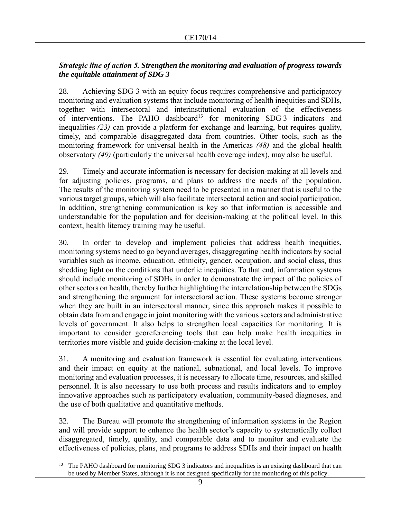### *Strategic line of action 5. Strengthen the monitoring and evaluation of progress towards the equitable attainment of SDG 3*

28. Achieving SDG 3 with an equity focus requires comprehensive and participatory monitoring and evaluation systems that include monitoring of health inequities and SDHs, together with intersectoral and interinstitutional evaluation of the effectiveness of interventions. The PAHO dashboard<sup>13</sup> for monitoring SDG 3 indicators and inequalities *(23)* can provide a platform for exchange and learning, but requires quality, timely, and comparable disaggregated data from countries. Other tools, such as the monitoring framework for universal health in the Americas *(48)* and the global health observatory *(49)* (particularly the universal health coverage index), may also be useful.

29. Timely and accurate information is necessary for decision-making at all levels and for adjusting policies, programs, and plans to address the needs of the population. The results of the monitoring system need to be presented in a manner that is useful to the various target groups, which will also facilitate intersectoral action and social participation. In addition, strengthening communication is key so that information is accessible and understandable for the population and for decision-making at the political level. In this context, health literacy training may be useful.

30. In order to develop and implement policies that address health inequities, monitoring systems need to go beyond averages, disaggregating health indicators by social variables such as income, education, ethnicity, gender, occupation, and social class, thus shedding light on the conditions that underlie inequities. To that end, information systems should include monitoring of SDHs in order to demonstrate the impact of the policies of other sectors on health, thereby further highlighting the interrelationship between the SDGs and strengthening the argument for intersectoral action. These systems become stronger when they are built in an intersectoral manner, since this approach makes it possible to obtain data from and engage in joint monitoring with the various sectors and administrative levels of government. It also helps to strengthen local capacities for monitoring. It is important to consider georeferencing tools that can help make health inequities in territories more visible and guide decision-making at the local level.

31. A monitoring and evaluation framework is essential for evaluating interventions and their impact on equity at the national, subnational, and local levels. To improve monitoring and evaluation processes, it is necessary to allocate time, resources, and skilled personnel. It is also necessary to use both process and results indicators and to employ innovative approaches such as participatory evaluation, community-based diagnoses, and the use of both qualitative and quantitative methods.

32. The Bureau will promote the strengthening of information systems in the Region and will provide support to enhance the health sector's capacity to systematically collect disaggregated, timely, quality, and comparable data and to monitor and evaluate the effectiveness of policies, plans, and programs to address SDHs and their impact on health

<sup>&</sup>lt;sup>13</sup> The PAHO dashboard for monitoring SDG 3 indicators and inequalities is an existing dashboard that can be used by Member States, although it is not designed specifically for the monitoring of this policy.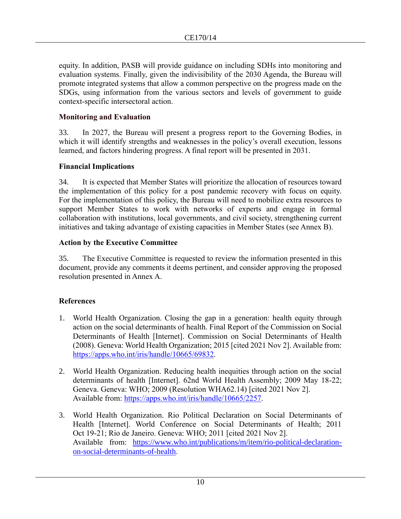equity. In addition, PASB will provide guidance on including SDHs into monitoring and evaluation systems. Finally, given the indivisibility of the 2030 Agenda, the Bureau will promote integrated systems that allow a common perspective on the progress made on the SDGs, using information from the various sectors and levels of government to guide context-specific intersectoral action.

### **Monitoring and Evaluation**

33. In 2027, the Bureau will present a progress report to the Governing Bodies, in which it will identify strengths and weaknesses in the policy's overall execution, lessons learned, and factors hindering progress. A final report will be presented in 2031.

### **Financial Implications**

34. It is expected that Member States will prioritize the allocation of resources toward the implementation of this policy for a post pandemic recovery with focus on equity. For the implementation of this policy, the Bureau will need to mobilize extra resources to support Member States to work with networks of experts and engage in formal collaboration with institutions, local governments, and civil society, strengthening current initiatives and taking advantage of existing capacities in Member States (see Annex B).

### **Action by the Executive Committee**

35. The Executive Committee is requested to review the information presented in this document, provide any comments it deems pertinent, and consider approving the proposed resolution presented in Annex A.

## **References**

- 1. World Health Organization. Closing the gap in a generation: health equity through action on the social determinants of health. Final Report of the Commission on Social Determinants of Health [Internet]. Commission on Social Determinants of Health (2008). Geneva: World Health Organization; 2015 [cited 2021 Nov 2]. Available from: [https://apps.who.int/iris/handle/10665/69832.](https://apps.who.int/iris/handle/10665/69832)
- 2. World Health Organization. Reducing health inequities through action on the social determinants of health [Internet]. 62nd World Health Assembly; 2009 May 18-22; Geneva. Geneva: WHO; 2009 (Resolution WHA62.14) [cited 2021 Nov 2]. Available from: [https://apps.who.int/iris/handle/10665/2257.](https://apps.who.int/iris/handle/10665/2257)
- 3. World Health Organization. Rio Political Declaration on Social Determinants of Health [Internet]. World Conference on Social Determinants of Health; 2011 Oct 19-21; Rio de Janeiro. Geneva: WHO; 2011 [cited 2021 Nov 2]. Available from: https://www.who.int/publications/m/item/rio-political-declarationon-social-determinants-of-health.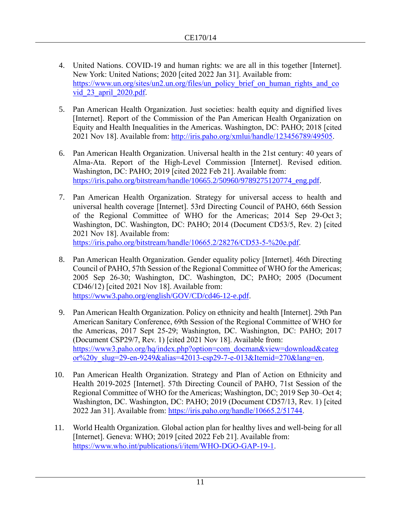- 4. United Nations. COVID-19 and human rights: we are all in this together [Internet]. New York: United Nations; 2020 [cited 2022 Jan 31]. Available from: [https://www.un.org/sites/un2.un.org/files/un\\_policy\\_brief\\_on\\_human\\_rights\\_and\\_co](https://www.un.org/sites/un2.un.org/files/un_policy_brief_on_human_rights_and_covid_23_april_2020.pdf) vid 23 april 2020.pdf.
- 5. Pan American Health Organization. Just societies: health equity and dignified lives [Internet]. Report of the Commission of the Pan American Health Organization on Equity and Health Inequalities in the Americas. Washington, DC: PAHO; 2018 [cited 2021 Nov 18]. Available from: [http://iris.paho.org/xmlui/handle/123456789/49505.](http://iris.paho.org/xmlui/handle/123456789/49505)
- 6. Pan American Health Organization. Universal health in the 21st century: 40 years of Alma-Ata. Report of the High-Level Commission [Internet]. Revised edition. Washington, DC: PAHO; 2019 [cited 2022 Feb 21]. Available from: [https://iris.paho.org/bitstream/handle/10665.2/50960/9789275120774\\_eng.pdf.](https://iris.paho.org/bitstream/handle/10665.2/50960/9789275120774_eng.pdf)
- 7. Pan American Health Organization. Strategy for universal access to health and universal health coverage [Internet]. 53rd Directing Council of PAHO, 66th Session of the Regional Committee of WHO for the Americas; 2014 Sep 29-Oct 3; Washington, DC. Washington, DC: PAHO; 2014 (Document CD53/5, Rev. 2) [cited 2021 Nov 18]. Available from: [https://iris.paho.org/bitstream/handle/10665.2/28276/CD53-5-%20e.pdf.](https://iris.paho.org/bitstream/handle/10665.2/28276/CD53-5-%20e.pdf)
- 8. Pan American Health Organization. Gender equality policy [Internet]. 46th Directing Council of PAHO, 57th Session of the Regional Committee of WHO for the Americas; 2005 Sep 26-30; Washington, DC. Washington, DC; PAHO; 2005 (Document CD46/12) [cited 2021 Nov 18]. Available from: [https://www3.paho.org/english/GOV/CD/cd46-12-e.pdf.](https://www3.paho.org/english/GOV/CD/cd46-12-e.pdf)
- 9. Pan American Health Organization. Policy on ethnicity and health [Internet]. 29th Pan American Sanitary Conference, 69th Session of the Regional Committee of WHO for the Americas, 2017 Sept 25-29; Washington, DC. Washington, DC: PAHO; 2017 (Document CSP29/7, Rev. 1) [cited 2021 Nov 18]. Available from: [https://www3.paho.org/hq/index.php?option=com\\_docman&view=download&categ](https://www3.paho.org/hq/index.php?option=com_docman&view=download&categor%20y_slug=29-en-9249&alias=42013-csp29-7-e-013&Itemid=270&lang=en) [or%20y\\_slug=29-en-9249&alias=42013-csp29-7-e-013&Itemid=270&lang=en.](https://www3.paho.org/hq/index.php?option=com_docman&view=download&categor%20y_slug=29-en-9249&alias=42013-csp29-7-e-013&Itemid=270&lang=en)
- 10. Pan American Health Organization. Strategy and Plan of Action on Ethnicity and Health 2019-2025 [Internet]. 57th Directing Council of PAHO, 71st Session of the Regional Committee of WHO for the Americas; Washington, DC; 2019 Sep 30–Oct 4; Washington, DC. Washington, DC: PAHO; 2019 (Document CD57/13, Rev. 1) [cited 2022 Jan 31]. Available from: [https://iris.paho.org/handle/10665.2/51744.](https://iris.paho.org/handle/10665.2/51744)
- 11. World Health Organization. Global action plan for healthy lives and well-being for all [Internet]. Geneva: WHO; 2019 [cited 2022 Feb 21]. Available from: [https://www.who.int/publications/i/item/WHO-DGO-GAP-19-1.](https://www.who.int/publications/i/item/WHO-DGO-GAP-19-1)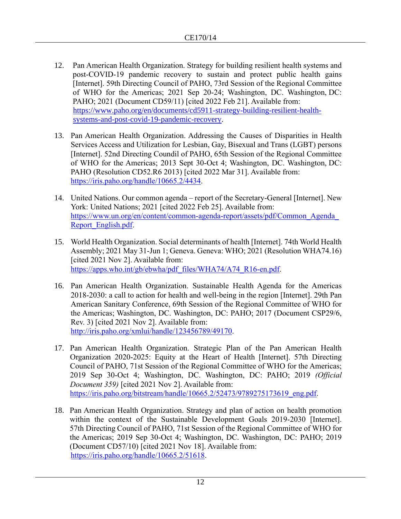- 12. Pan American Health Organization. Strategy for building resilient health systems and post-COVID-19 pandemic recovery to sustain and protect public health gains [Internet]. 59th Directing Council of PAHO, 73rd Session of the Regional Committee of WHO for the Americas; 2021 Sep 20-24; Washington, DC. Washington, DC: PAHO; 2021 (Document CD59/11) [cited 2022 Feb 21]. Available from: https://www.paho.org/en/documents/cd5911-strategy-building-resilient-healthsystems-and-post-covid-19-pandemic-recovery.
- 13. Pan American Health Organization. Addressing the Causes of Disparities in Health Services Access and Utilization for Lesbian, Gay, Bisexual and Trans (LGBT) persons [Internet]. 52nd Directing Coundil of PAHO, 65th Session of the Regional Committee of WHO for the Americas; 2013 Sept 30-Oct 4; Washington, DC. Washington, DC: PAHO (Resolution CD52.R6 2013) [cited 2022 Mar 31]. Available from: [https://iris.paho.org/handle/10665.2/4434.](https://iris.paho.org/handle/10665.2/4434)
- 14. United Nations. Our common agenda report of the Secretary-General [Internet]. New York: United Nations; 2021 [cited 2022 Feb 25]. Available from: [https://www.un.org/en/content/common-agenda-report/assets/pdf/Common\\_Agenda\\_](https://www.un.org/en/content/common-agenda-report/assets/pdf/Common_Agenda_Report_English.pdf) [Report\\_English.pdf.](https://www.un.org/en/content/common-agenda-report/assets/pdf/Common_Agenda_Report_English.pdf)
- 15. World Health Organization. Social determinants of health [Internet]. 74th World Health Assembly; 2021 May 31-Jun 1; Geneva. Geneva: WHO; 2021 (Resolution WHA74.16) [cited 2021 Nov 2]. Available from: [https://apps.who.int/gb/ebwha/pdf\\_files/WHA74/A74\\_R16-en.pdf.](https://apps.who.int/gb/ebwha/pdf_files/WHA74/A74_R16-en.pdf)
- 16. Pan American Health Organization. Sustainable Health Agenda for the Americas 2018-2030: a call to action for health and well-being in the region [Internet]. 29th Pan American Sanitary Conference, 69th Session of the Regional Committee of WHO for the Americas; Washington, DC. Washington, DC: PAHO; 2017 (Document CSP29/6, Rev. 3) [cited 2021 Nov 2]. Available from: [http://iris.paho.org/xmlui/handle/123456789/49170.](http://iris.paho.org/xmlui/handle/123456789/49170)
- 17. Pan American Health Organization. Strategic Plan of the Pan American Health Organization 2020-2025: Equity at the Heart of Health [Internet]. 57th Directing Council of PAHO, 71st Session of the Regional Committee of WHO for the Americas; 2019 Sep 30-Oct 4; Washington, DC. Washington, DC: PAHO; 2019 *(Official Document 359)* [cited 2021 Nov 2]. Available from: [https://iris.paho.org/bitstream/handle/10665.2/52473/9789275173619\\_eng.pdf.](https://iris.paho.org/bitstream/handle/10665.2/52473/9789275173619_eng.pdf)
- 18. Pan American Health Organization. Strategy and plan of action on health promotion within the context of the Sustainable Development Goals 2019-2030 [Internet]. 57th Directing Council of PAHO, 71st Session of the Regional Committee of WHO for the Americas; 2019 Sep 30-Oct 4; Washington, DC. Washington, DC: PAHO; 2019 (Document CD57/10) [cited 2021 Nov 18]. Available from: [https://iris.paho.org/handle/10665.2/51618.](https://iris.paho.org/handle/10665.2/51618)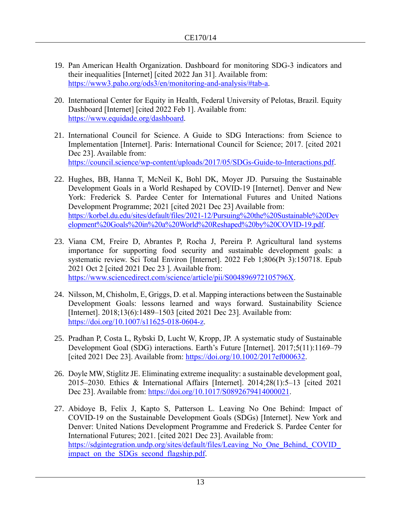- 19. Pan American Health Organization. Dashboard for monitoring SDG-3 indicators and their inequalities [Internet] [cited 2022 Jan 31]. Available from: [https://www3.paho.org/ods3/en/monitoring-and-analysis/#tab-a.](https://www3.paho.org/ods3/en/monitoring-and-analysis/#tab-a)
- 20. International Center for Equity in Health, Federal University of Pelotas, Brazil. Equity Dashboard [Internet] [cited 2022 Feb 1]. Available from: [https://www.equidade.org/dashboard.](https://www.equidade.org/dashboard)
- 21. International Council for Science. A Guide to SDG Interactions: from Science to Implementation [Internet]. Paris: International Council for Science; 2017. [cited 2021 Dec 23]. Available from: [https://council.science/wp-content/uploads/2017/05/SDGs-Guide-to-Interactions.pdf.](https://council.science/wp-content/uploads/2017/05/SDGs-Guide-to-Interactions.pdf)
- 22. Hughes, BB, Hanna T, McNeil K, Bohl DK, Moyer JD. Pursuing the Sustainable Development Goals in a World Reshaped by COVID-19 [Internet]. Denver and New York: Frederick S. Pardee Center for International Futures and United Nations Development Programme; 2021 [cited 2021 Dec 23] Available from: [https://korbel.du.edu/sites/default/files/2021-12/Pursuing%20the%20Sustainable%20Dev](https://korbel.du.edu/sites/default/files/202112/Pursuing%20the%20Sustainable%20Development%20Goals%20in%20a%20World%20Reshaped%20by%20COVID19.pdf) [elopment%20Goals%20in%20a%20World%20Reshaped%20by%20COVID-19.pdf.](https://korbel.du.edu/sites/default/files/202112/Pursuing%20the%20Sustainable%20Development%20Goals%20in%20a%20World%20Reshaped%20by%20COVID19.pdf)
- 23. Viana CM, Freire D, Abrantes P, Rocha J, Pereira P. Agricultural land systems importance for supporting food security and sustainable development goals: a systematic review. Sci Total Environ [Internet]. 2022 Feb 1;806(Pt 3):150718. Epub 2021 Oct 2 [cited 2021 Dec 23 ]. Available from: [https://www.sciencedirect.com/science/article/pii/S004896972105796X.](https://www.sciencedirect.com/science/article/pii/S004896972105796X)
- 24. Nilsson, M, Chisholm, E, Griggs, D. et al. Mapping interactions between the Sustainable Development Goals: lessons learned and ways forward. Sustainability Science [Internet]. 2018;13(6):1489–1503 [cited 2021 Dec 23]. Available from: [https://doi.org/10.1007/s11625-018-0604-z.](https://doi.org/10.1007/s11625-018-0604-z)
- 25. Pradhan P, Costa L, Rybski D, Lucht W, Kropp, JP. A systematic study of Sustainable Development Goal (SDG) interactions. Earth's Future [Internet]. 2017;5(11):1169–79 [cited 2021 Dec 23]. Available from: [https://doi.org/10.1002/2017ef000632.](https://doi.org/10.1002/2017ef000632)
- 26. Doyle MW, Stiglitz JE. Eliminating extreme inequality: a sustainable development goal, 2015–2030. Ethics & International Affairs [Internet]. 2014;28(1):5–13 [cited 2021 Dec 23]. Available from: [https://doi.org/10.1017/S0892679414000021.](https://doi.org/10.1017/S0892679414000021)
- 27. Abidoye B, Felix J, Kapto S, Patterson L. Leaving No One Behind: Impact of COVID-19 on the Sustainable Development Goals (SDGs) [Internet]. New York and Denver: United Nations Development Programme and Frederick S. Pardee Center for International Futures; 2021. [cited 2021 Dec 23]. Available from: https://sdgintegration.undp.org/sites/default/files/Leaving No One Behind, COVID impact on the SDGs second flagship.pdf.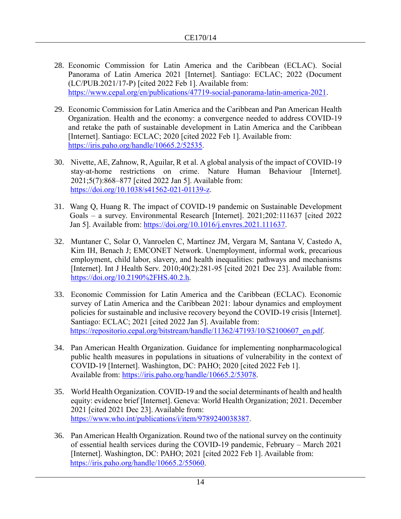- 28. Economic Commission for Latin America and the Caribbean (ECLAC). Social Panorama of Latin America 2021 [Internet]. Santiago: ECLAC; 2022 (Document (LC/PUB.2021/17-P) [cited 2022 Feb 1]. Available from: [https://www.cepal.org/en/publications/47719-social-panorama-latin-america-2021.](https://www.cepal.org/en/publications/47719-social-panorama-latin-america-2021)
- 29. Economic Commission for Latin America and the Caribbean and Pan American Health Organization. Health and the economy: a convergence needed to address COVID-19 and retake the path of sustainable development in Latin America and the Caribbean [Internet]. Santiago: ECLAC; 2020 [cited 2022 Feb 1]. Available from: [https://iris.paho.org/handle/10665.2/52535.](https://iris.paho.org/handle/10665.2/52535)
- 30. Nivette, AE, Zahnow, R, Aguilar, R et al. A global analysis of the impact of COVID-19 stay-at-home restrictions on crime. Nature Human Behaviour [Internet]. 2021;5(7):868–877 [cited 2022 Jan 5]. Available from: [https://doi.org/10.1038/s41562-021-01139-z.](https://doi.org/10.1038/s41562-021-01139-z)
- 31. Wang Q, Huang R. The impact of COVID-19 pandemic on Sustainable Development Goals – a survey. Environmental Research [Internet]. 2021;202:111637 [cited 2022 Jan 5]. Available from: [https://doi.org/10.1016/j.envres.2021.111637.](https://doi.org/10.1016/j.envres.2021.111637)
- 32. Muntaner C, Solar O, Vanroelen C, Martínez JM, Vergara M, Santana V, Castedo A, Kim IH, Benach J; EMCONET Network. Unemployment, informal work, precarious employment, child labor, slavery, and health inequalities: pathways and mechanisms [Internet]. Int J Health Serv. 2010;40(2):281-95 [cited 2021 Dec 23]. Available from: [https://doi.org/10.2190%2FHS.40.2.h.](https://doi.org/10.2190%2FHS.40.2.h)
- 33. Economic Commission for Latin America and the Caribbean (ECLAC). Economic survey of Latin America and the Caribbean 2021: labour dynamics and employment policies for sustainable and inclusive recovery beyond the COVID-19 crisis [Internet]. Santiago: ECLAC; 2021 [cited 2022 Jan 5]. Available from: [https://repositorio.cepal.org/bitstream/handle/11362/47193/10/S2100607\\_en.pdf.](https://repositorio.cepal.org/bitstream/handle/11362/47193/10/S2100607_en.pdf)
- 34. Pan American Health Organization. Guidance for implementing nonpharmacological public health measures in populations in situations of vulnerability in the context of COVID-19 [Internet]. Washington, DC: PAHO; 2020 [cited 2022 Feb 1]. Available from: [https://iris.paho.org/handle/10665.2/53078.](https://iris.paho.org/handle/10665.2/53078)
- 35. World Health Organization. COVID-19 and the social determinants of health and health equity: evidence brief [Internet]. Geneva: World Health Organization; 2021. December 2021 [cited 2021 Dec 23]. Available from: [https://www.who.int/publications/i/item/9789240038387.](https://www.who.int/publications/i/item/9789240038387)
- 36. Pan American Health Organization. Round two of the national survey on the continuity of essential health services during the COVID-19 pandemic, February – March 2021 [Internet]. Washington, DC: PAHO; 2021 [cited 2022 Feb 1]. Available from: [https://iris.paho.org/handle/10665.2/55060.](https://iris.paho.org/handle/10665.2/55060)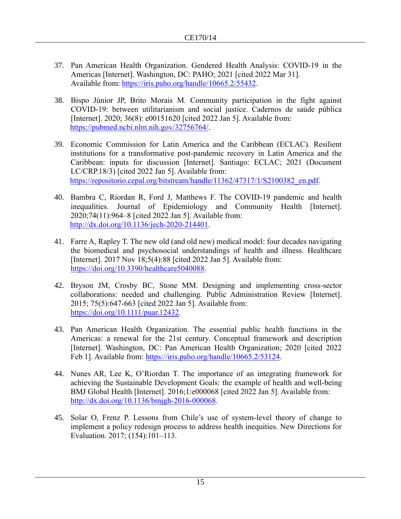- 37. Pan American Health Organization. Gendered Health Analysis: COVID-19 in the Americas [Internet]. Washington, DC: PAHO; 2021 [cited 2022 Mar 31]. Available from: [https://iris.paho.org/handle/10665.2/55432.](https://iris.paho.org/handle/10665.2/55432)
- 38. Bispo Júnior JP, Brito Morais M. Community participation in the fight against COVID-19: between utilitarianism and social justice. Cadernos de saúde pública [Internet]. 2020; 36(8): e00151620 [cited 2022 Jan 5]. Available from: [https://pubmed.ncbi.nlm.nih.gov/32756764/.](https://pubmed.ncbi.nlm.nih.gov/32756764/)
- 39. Economic Commission for Latin America and the Caribbean (ECLAC). Resilient institutions for a transformative post-pandemic recovery in Latin America and the Caribbean: inputs for discussion [Internet]. Santiago: ECLAC; 2021 (Document LC/CRP.18/3) [cited 2022 Jan 5]. Available from: [https://repositorio.cepal.org/bitstream/handle/11362/47317/1/S2100382\\_en.pdf.](https://repositorio.cepal.org/bitstream/handle/11362/47317/1/S2100382_en.pdf)
- 40. Bambra C, Riordan R, Ford J, Matthews F. The COVID-19 pandemic and health inequalities. Journal of Epidemiology and Community Health [Internet]. 2020;74(11):964–8 [cited 2022 Jan 5]. Available from: [http://dx.doi.org/10.1136/jech-2020-214401.](http://dx.doi.org/10.1136/jech2020214401)
- 41. Farre A, Rapley T. The new old (and old new) medical model: four decades navigating the biomedical and psychosocial understandings of health and illness. Healthcare [Internet]. 2017 Nov  $18;5(4):88$  [cited 2022 Jan 5]. Available from: [https://doi.org/10.3390/healthcare5040088.](https://doi.org/10.3390/healthcare5040088)
- 42. Bryson JM, Crosby BC, Stone MM. Designing and implementing cross-sector collaborations: needed and challenging. Public Administration Review [Internet]. 2015; 75(5):647-663 [cited 2022 Jan 5]. Available from: [https://doi.org/10.1111/puar.12432.](https://doi.org/10.1111/puar.12432)
- 43. Pan American Health Organization. The essential public health functions in the Americas: a renewal for the 21st century. Conceptual framework and description [Internet]. Washington, DC: Pan American Health Organization; 2020 [cited 2022 Feb 1]. Available from: [https://iris.paho.org/handle/10665.2/53124.](https://iris.paho.org/handle/10665.2/53124)
- 44. Nunes AR, Lee K, O'Riordan T. The importance of an integrating framework for achieving the Sustainable Development Goals: the example of health and well-being BMJ Global Health [Internet]. 2016;1:e000068 [cited 2022 Jan 5]. Available from: [http://dx.doi.org/10.1136/bmjgh-2016-000068.](http://dx.doi.org/10.1136/bmjgh2016000068)
- 45. Solar O, Frenz P. Lessons from Chile's use of system-level theory of change to implement a policy redesign process to address health inequities. New Directions for Evaluation. 2017; (154):101–113.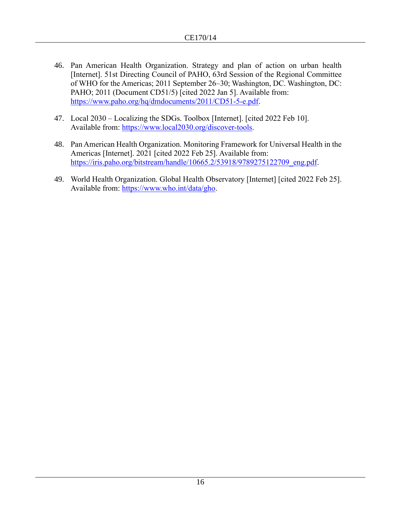- 46. Pan American Health Organization. Strategy and plan of action on urban health [Internet]. 51st Directing Council of PAHO, 63rd Session of the Regional Committee of WHO for the Americas; 2011 September 26–30; Washington, DC. Washington, DC: PAHO; 2011 (Document CD51/5) [cited 2022 Jan 5]. Available from: [https://www.paho.org/hq/dmdocuments/2011/CD51-5-e.pdf.](https://www.paho.org/hq/dmdocuments/2011/CD51-5-e.pdf)
- 47. Local 2030 Localizing the SDGs. Toolbox [Internet]. [cited 2022 Feb 10]. Available from: [https://www.local2030.org/discover-tools.](https://www.local2030.org/discover-tools)
- 48. Pan American Health Organization. Monitoring Framework for Universal Health in the Americas [Internet]. 2021 [cited 2022 Feb 25]. Available from: [https://iris.paho.org/bitstream/handle/10665.2/53918/9789275122709\\_eng.pdf.](https://iris.paho.org/bitstream/handle/10665.2/53918/9789275122709_eng.pdf)
- 49. World Health Organization. Global Health Observatory [Internet] [cited 2022 Feb 25]. Available from: [https://www.who.int/data/gho.](https://www.who.int/data/gho)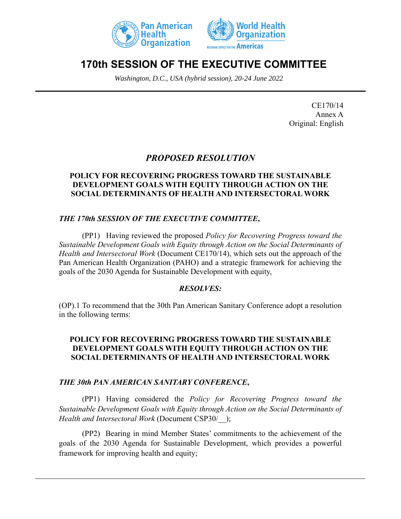



# **170th SESSION OF THE EXECUTIVE COMMITTEE**

*Washington, D.C., USA (hybrid session), 20-24 June 2022*

CE170/14 Annex A Original: English

# *PROPOSED RESOLUTION*

### **POLICY FOR RECOVERING PROGRESS TOWARD THE SUSTAINABLE DEVELOPMENT GOALS WITH EQUITY THROUGH ACTION ON THE SOCIAL DETERMINANTS OF HEALTH AND INTERSECTORAL WORK**

### *THE 170th SESSION OF THE EXECUTIVE COMMITTEE***,**

(PP1) Having reviewed the proposed *Policy for Recovering Progress toward the Sustainable Development Goals with Equity through Action on the Social Determinants of Health and Intersectoral Work* (Document CE170/14), which sets out the approach of the Pan American Health Organization (PAHO) and a strategic framework for achieving the goals of the 2030 Agenda for Sustainable Development with equity,

### *RESOLVES:*

(OP).1 To recommend that the 30th Pan American Sanitary Conference adopt a resolution in the following terms:

### **POLICY FOR RECOVERING PROGRESS TOWARD THE SUSTAINABLE DEVELOPMENT GOALS WITH EQUITY THROUGH ACTION ON THE SOCIAL DETERMINANTS OF HEALTH AND INTERSECTORAL WORK**

### *THE 30th PAN AMERICAN SANITARY CONFERENCE***,**

(PP1) Having considered the *Policy for Recovering Progress toward the Sustainable Development Goals with Equity through Action on the Social Determinants of Health and Intersectoral Work* (Document CSP30/\_\_);

(PP2) Bearing in mind Member States' commitments to the achievement of the goals of the 2030 Agenda for Sustainable Development, which provides a powerful framework for improving health and equity;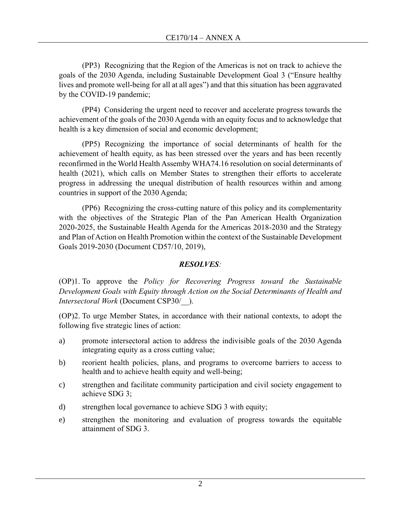(PP3) Recognizing that the Region of the Americas is not on track to achieve the goals of the 2030 Agenda, including Sustainable Development Goal 3 ("Ensure healthy lives and promote well-being for all at all ages") and that this situation has been aggravated by the COVID-19 pandemic;

(PP4) Considering the urgent need to recover and accelerate progress towards the achievement of the goals of the 2030 Agenda with an equity focus and to acknowledge that health is a key dimension of social and economic development;

(PP5) Recognizing the importance of social determinants of health for the achievement of health equity, as has been stressed over the years and has been recently reconfirmed in the World Health Assemby WHA74.16 resolution on social determinants of health (2021), which calls on Member States to strengthen their efforts to accelerate progress in addressing the unequal distribution of health resources within and among countries in support of the 2030 Agenda;

(PP6) Recognizing the cross-cutting nature of this policy and its complementarity with the objectives of the Strategic Plan of the Pan American Health Organization 2020-2025, the Sustainable Health Agenda for the Americas 2018-2030 and the Strategy and Plan of Action on Health Promotion within the context of the Sustainable Development Goals 2019-2030 (Document CD57/10, 2019),

## *RESOLVES:*

(OP)1. To approve the *Policy for Recovering Progress toward the Sustainable Development Goals with Equity through Action on the Social Determinants of Health and Intersectoral Work* (Document CSP30/\_\_).

(OP)2. To urge Member States, in accordance with their national contexts, to adopt the following five strategic lines of action:

- a) promote intersectoral action to address the indivisible goals of the 2030 Agenda integrating equity as a cross cutting value;
- b) reorient health policies, plans, and programs to overcome barriers to access to health and to achieve health equity and well-being;
- c) strengthen and facilitate community participation and civil society engagement to achieve SDG 3;
- d) strengthen local governance to achieve SDG 3 with equity;
- e) strengthen the monitoring and evaluation of progress towards the equitable attainment of SDG 3.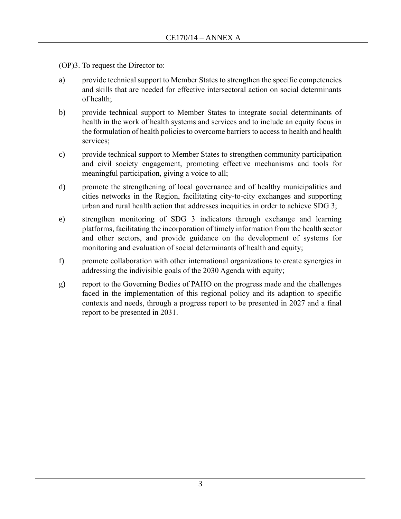(OP)3. To request the Director to:

- a) provide technical support to Member States to strengthen the specific competencies and skills that are needed for effective intersectoral action on social determinants of health;
- b) provide technical support to Member States to integrate social determinants of health in the work of health systems and services and to include an equity focus in the formulation of health policies to overcome barriers to access to health and health services;
- c) provide technical support to Member States to strengthen community participation and civil society engagement, promoting effective mechanisms and tools for meaningful participation, giving a voice to all;
- d) promote the strengthening of local governance and of healthy municipalities and cities networks in the Region, facilitating city-to-city exchanges and supporting urban and rural health action that addresses inequities in order to achieve SDG 3;
- e) strengthen monitoring of SDG 3 indicators through exchange and learning platforms, facilitating the incorporation of timely information from the health sector and other sectors, and provide guidance on the development of systems for monitoring and evaluation of social determinants of health and equity;
- f) promote collaboration with other international organizations to create synergies in addressing the indivisible goals of the 2030 Agenda with equity;
- g) report to the Governing Bodies of PAHO on the progress made and the challenges faced in the implementation of this regional policy and its adaption to specific contexts and needs, through a progress report to be presented in 2027 and a final report to be presented in 2031.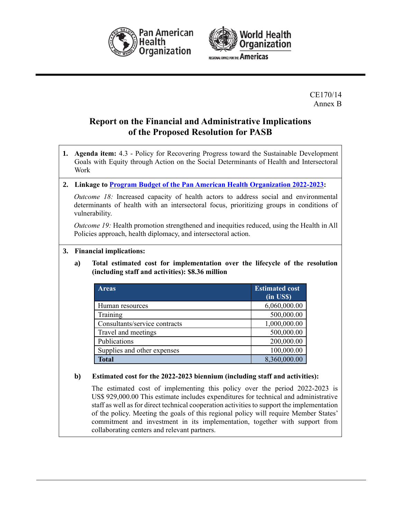



CE170/14 Annex B

# **Report on the Financial and Administrative Implications of the Proposed Resolution for PASB**

**1. Agenda item:** 4.3 - Policy for Recovering Progress toward the Sustainable Development Goals with Equity through Action on the Social Determinants of Health and Intersectoral Work

#### **2. Linkage to Program Budget of the [Pan American Health Organization 2022-2023:](https://www.paho.org/en/documents/cd59od363-program-budget-pan-american-health-organization-2022-2023)**

*Outcome 18:* Increased capacity of health actors to address social and environmental determinants of health with an intersectoral focus, prioritizing groups in conditions of vulnerability.

*Outcome 19:* Health promotion strengthened and inequities reduced, using the Health in All Policies approach, health diplomacy, and intersectoral action.

- **3. Financial implications:**
	- **a) Total estimated cost for implementation over the lifecycle of the resolution (including staff and activities): \$8.36 million**

| <b>Areas</b>                  | <b>Estimated cost</b><br>(in US\$) |
|-------------------------------|------------------------------------|
| Human resources               | 6,060,000.00                       |
| Training                      | 500,000.00                         |
| Consultants/service contracts | 1,000,000.00                       |
| Travel and meetings           | 500,000.00                         |
| Publications                  | 200,000.00                         |
| Supplies and other expenses   | 100,000.00                         |
| <b>Total</b>                  | 8,360,000.00                       |

#### **b) Estimated cost for the 2022-2023 biennium (including staff and activities):**

The estimated cost of implementing this policy over the period 2022-2023 is US\$ 929,000.00 This estimate includes expenditures for technical and administrative staff as well as for direct technical cooperation activities to support the implementation of the policy. Meeting the goals of this regional policy will require Member States' commitment and investment in its implementation, together with support from collaborating centers and relevant partners.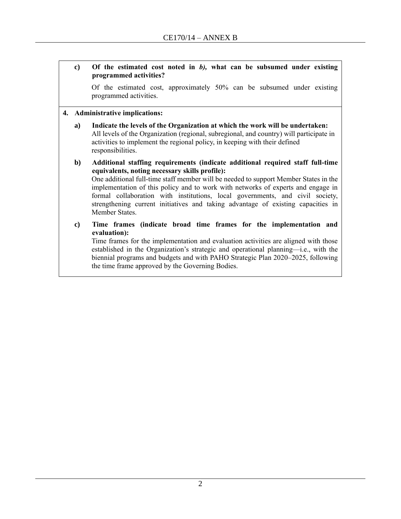### **c) Of the estimated cost noted in** *b),* **what can be subsumed under existing programmed activities?**

Of the estimated cost, approximately 50% can be subsumed under existing programmed activities.

#### **4. Administrative implications:**

- **a) Indicate the levels of the Organization at which the work will be undertaken:** All levels of the Organization (regional, subregional, and country) will participate in activities to implement the regional policy, in keeping with their defined responsibilities.
- **b) Additional staffing requirements (indicate additional required staff full-time equivalents, noting necessary skills profile):** One additional full-time staff member will be needed to support Member States in the implementation of this policy and to work with networks of experts and engage in formal collaboration with institutions, local governments, and civil society, strengthening current initiatives and taking advantage of existing capacities in Member States.
- **c) Time frames (indicate broad time frames for the implementation and evaluation):**

Time frames for the implementation and evaluation activities are aligned with those established in the Organization's strategic and operational planning—i.e., with the biennial programs and budgets and with PAHO Strategic Plan 2020–2025, following the time frame approved by the Governing Bodies.